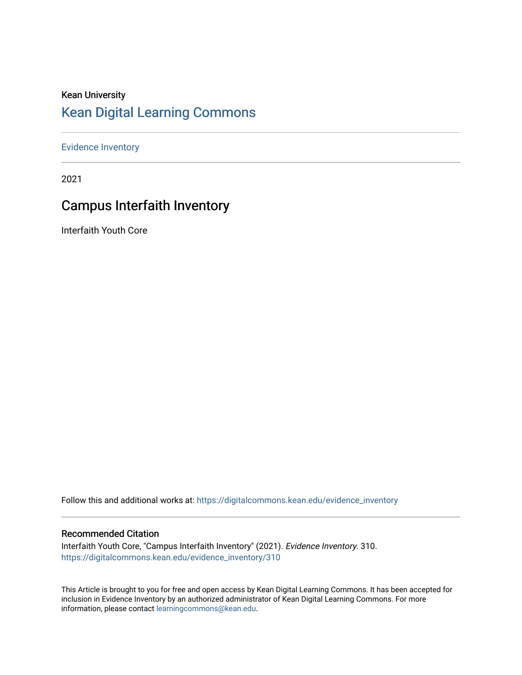### Kean University [Kean Digital Learning Commons](https://digitalcommons.kean.edu/)

[Evidence Inventory](https://digitalcommons.kean.edu/evidence_inventory) 

2021

### Campus Interfaith Inventory

Interfaith Youth Core

Follow this and additional works at: [https://digitalcommons.kean.edu/evidence\\_inventory](https://digitalcommons.kean.edu/evidence_inventory?utm_source=digitalcommons.kean.edu%2Fevidence_inventory%2F310&utm_medium=PDF&utm_campaign=PDFCoverPages)

#### Recommended Citation

Interfaith Youth Core, "Campus Interfaith Inventory" (2021). Evidence Inventory. 310. [https://digitalcommons.kean.edu/evidence\\_inventory/310](https://digitalcommons.kean.edu/evidence_inventory/310?utm_source=digitalcommons.kean.edu%2Fevidence_inventory%2F310&utm_medium=PDF&utm_campaign=PDFCoverPages)

This Article is brought to you for free and open access by Kean Digital Learning Commons. It has been accepted for inclusion in Evidence Inventory by an authorized administrator of Kean Digital Learning Commons. For more information, please contact [learningcommons@kean.edu](mailto:learningcommons@kean.edu).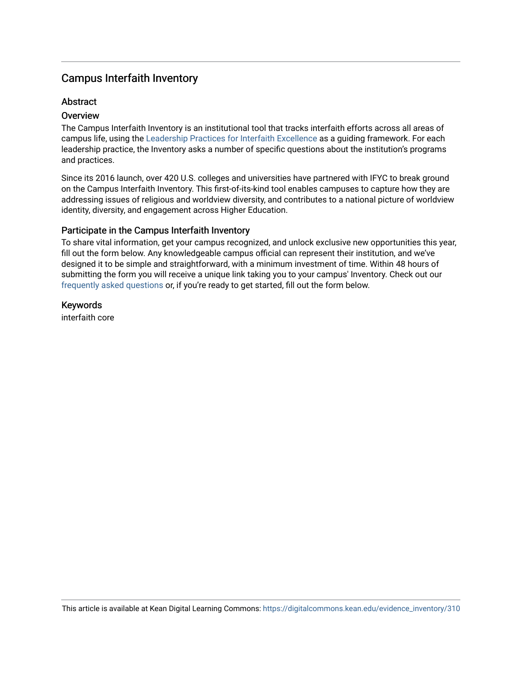### Campus Interfaith Inventory

### **Abstract**

### **Overview**

The Campus Interfaith Inventory is an institutional tool that tracks interfaith efforts across all areas of campus life, using the [Leadership Practices for Interfaith Excellence](https://www.aacu.org/liberaleducation/2015/winter-spring/patel) as a guiding framework. For each leadership practice, the Inventory asks a number of specific questions about the institution's programs and practices.

Since its 2016 launch, over 420 U.S. colleges and universities have partnered with IFYC to break ground on the Campus Interfaith Inventory. This first-of-its-kind tool enables campuses to capture how they are addressing issues of religious and worldview diversity, and contributes to a national picture of worldview identity, diversity, and engagement across Higher Education.

### Participate in the Campus Interfaith Inventory

To share vital information, get your campus recognized, and unlock exclusive new opportunities this year, fill out the form below. Any knowledgeable campus official can represent their institution, and we've designed it to be simple and straightforward, with a minimum investment of time. Within 48 hours of submitting the form you will receive a unique link taking you to your campus' Inventory. Check out our [frequently asked questions](https://www.ifyc.org/inventory/faq) or, if you're ready to get started, fill out the form below.

Keywords interfaith core

This article is available at Kean Digital Learning Commons: [https://digitalcommons.kean.edu/evidence\\_inventory/310](https://digitalcommons.kean.edu/evidence_inventory/310)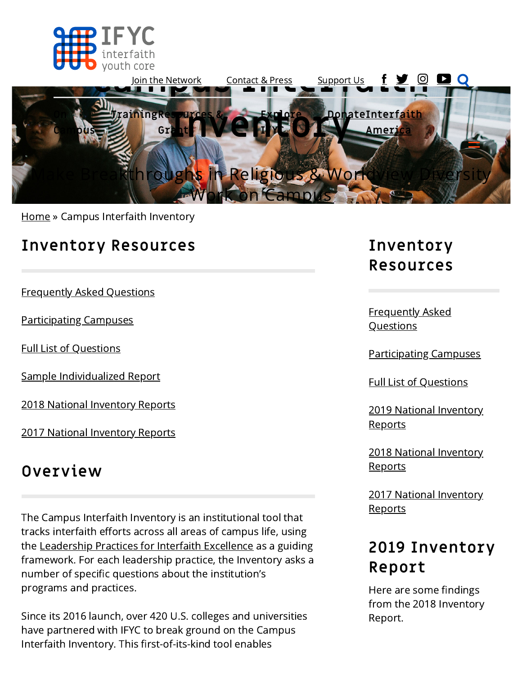



[Home](https://ifyc.org/) » Campus Interfaith Inventory

## **Inventory Resources**

[Frequently Asked Questions](#page-4-0)

[Participating Campuses](https://ifyc.org/inventory/participants)

[Full List of Questions](https://ifyc.org/sites/default/files/resources/Campus%20Interfaith%20Inventory%20%2819-20%29.pdf)

[Sample Individualized Report](https://ifyc.org/sites/default/files/SampleCII1819_0.pdf)

[2018 National Inventory Reports](https://ifyc.org/resources/inventory/2018)

[2017 National Inventory Reports](https://ifyc.org/resources/inventory/2017)

## **Overview**

The Campus Interfaith Inventory is an institutional tool that tracks interfaith efforts across all areas of campus life, using the [Leadership Practices for Interfaith Excellence](https://www.aacu.org/liberaleducation/2015/winter-spring/patel) as a guiding framework. For each leadership practice, the Inventory asks a number of specific questions about the institution's programs and practices.

Since its 2016 launch, over 420 U.S. colleges and universities have partnered with IFYC to break ground on the Campus Interfaith Inventory. This first-of-its-kind tool enables

# **Inventory Resources**

[Frequently Asked](#page-4-0) **Questions** 

[Participating Campuses](https://ifyc.org/inventory/participants)

[Full List of Questions](https://ifyc.org/sites/default/files/resources/Campus%20Interfaith%20Inventory%20%2819-20%29%20%281%29.pdf)

[2019 National Inventory](https://ifyc.org/resources/inventory/2019) Reports

[2018 National Inventory](https://ifyc.org/resources/inventory/2018) **Reports** 

[2017 National Inventory](https://ifyc.org/resources/inventory/2017) **Reports** 

# **2019 Inventory Report**

Here are some findings from the 2018 Inventory Report.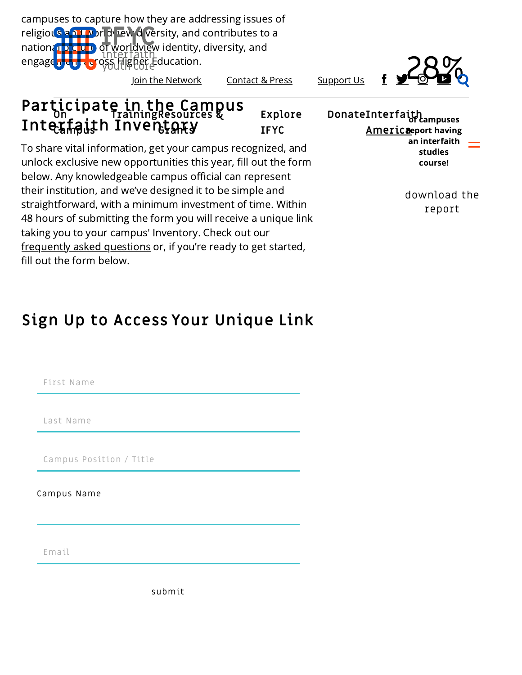campuses to capture how they are addressing issues of religious and world versity, and contributes to a nation **abiclure** of worldview identity, diversity, and engage<mark>d and a</mark>cross Higher Education.

[Join the Network](https://ifyc.org/joinus) [Contact & Press](https://ifyc.org/contact) [Support Us](https://ifyc.org/support-us)

#### **Participate in the Campus On TrainingResources & Interfaith Inventory Campus Grants Explore IFYC**

To share vital information, get your campus recognized, and unlock exclusive new opportunities this year, fill out the form below. Any knowledgeable campus official can represent their institution, and we've designed it to be simple and straightforward, with a minimum investment of time. Within 48 hours of submitting the form you will receive a unique link taking you to your campus' Inventory. Check out our [frequently asked questions](https://www.ifyc.org/inventory/faq) or, if you're ready to get started, fill out the form below.

<u>[Donate](https://ifyc.org/support-us)[Interfaith](https://ifyc.org/interfaith-america)</u><br>d'eampuses <u>Americ**a**eport having</u> an interfaith studies course!

> [download](https://ifyc.org/resources/how-senior-administrators-faculty-and-staff-foster-civic-religious-pluralism-campus) the report

# **Sign Up to Access Your Unique Link**

First Name

Last Name

Campus Position / Title

Campus Name

Email

submit